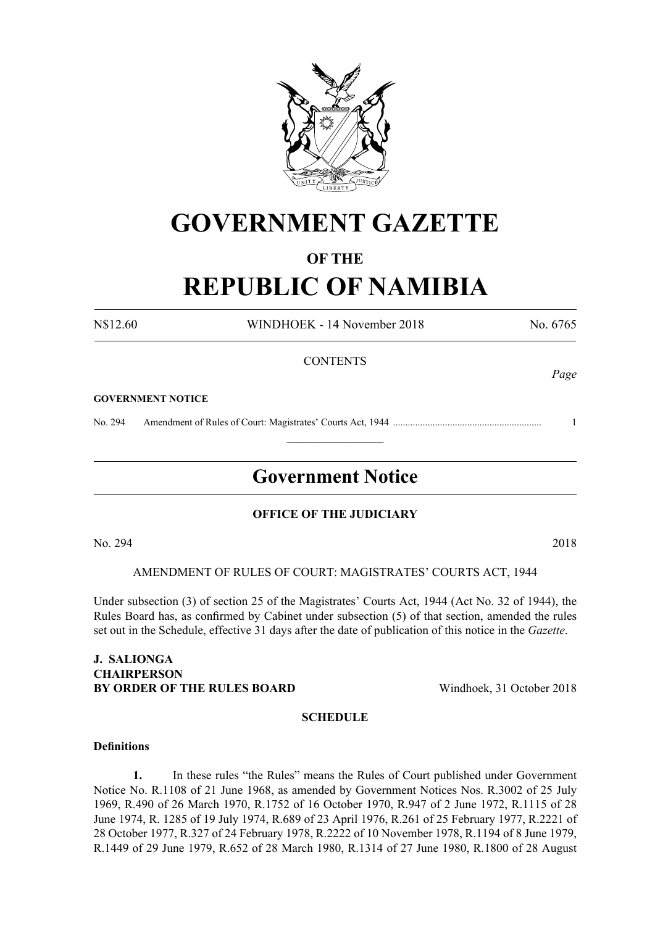

# **GOVERNMENT GAZETTE**

### **OF THE**

# **REPUBLIC OF NAMIBIA**

N\$12.60 WINDHOEK - 14 November 2018 No. 6765

#### **CONTENTS**

#### **GOVERNMENT NOTICE**

No. 294 Amendment of Rules of Court: Magistrates' Courts Act, 1944 ............................................................ 1

# **Government Notice**

 $\frac{1}{2}$ 

#### **OFFICE OF THE JUDICIARY**

No. 294 2018

AMENDMENT OF RULES OF COURT: MAGISTRATES' COURTS ACT, 1944

Under subsection (3) of section 25 of the Magistrates' Courts Act, 1944 (Act No. 32 of 1944), the Rules Board has, as confirmed by Cabinet under subsection (5) of that section, amended the rules set out in the Schedule, effective 31 days after the date of publication of this notice in the *Gazette*.

#### **J. Salionga Chairperson BY ORDER OF THE RULES BOARD** Windhoek, 31 October 2018

#### **SCHEDULE**

#### **Definitions**

**1.** In these rules "the Rules" means the Rules of Court published under Government Notice No. R.1108 of 21 June 1968, as amended by Government Notices Nos. R.3002 of 25 July 1969, R.490 of 26 March 1970, R.1752 of 16 October 1970, R.947 of 2 June 1972, R.1115 of 28 June 1974, R. 1285 of 19 July 1974, R.689 of 23 April 1976, R.261 of 25 February 1977, R.2221 of 28 October 1977, R.327 of 24 February 1978, R.2222 of 10 November 1978, R.1194 of 8 June 1979, R.1449 of 29 June 1979, R.652 of 28 March 1980, R.1314 of 27 June 1980, R.1800 of 28 August

*Page*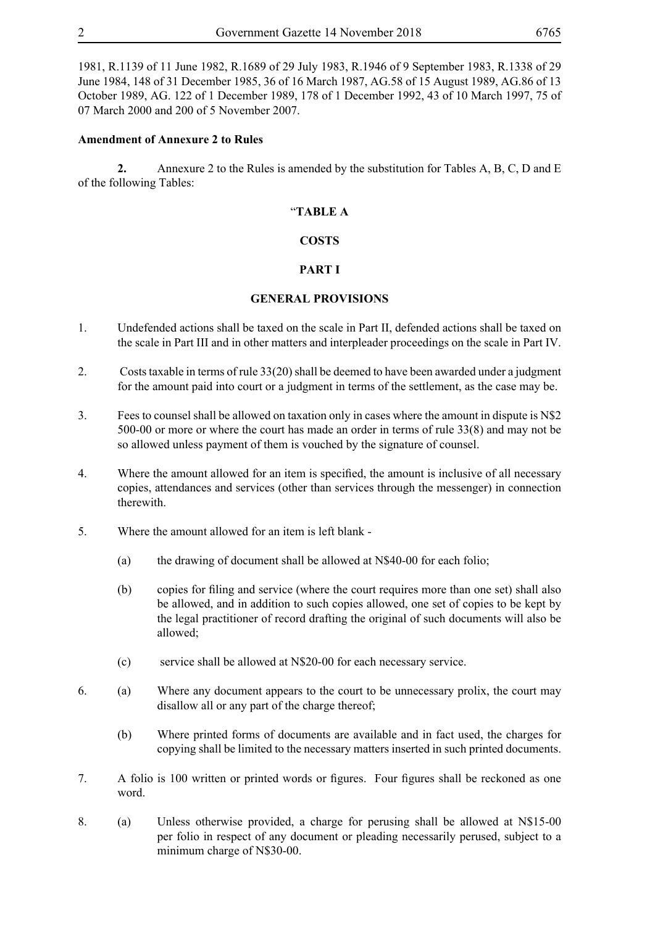1981, R.1139 of 11 June 1982, R.1689 of 29 July 1983, R.1946 of 9 September 1983, R.1338 of 29 June 1984, 148 of 31 December 1985, 36 of 16 March 1987, AG.58 of 15 August 1989, AG.86 of 13 October 1989, AG. 122 of 1 December 1989, 178 of 1 December 1992, 43 of 10 March 1997, 75 of 07 March 2000 and 200 of 5 November 2007.

#### **Amendment of Annexure 2 to Rules**

**2.** Annexure 2 to the Rules is amended by the substitution for Tables A, B, C, D and E of the following Tables:

#### "**TABLE A**

#### **COSTS**

#### **PART I**

#### **GENERAL PROVISIONS**

- 1. Undefended actions shall be taxed on the scale in Part II, defended actions shall be taxed on the scale in Part III and in other matters and interpleader proceedings on the scale in Part IV.
- 2. Costs taxable in terms of rule 33(20) shall be deemed to have been awarded under a judgment for the amount paid into court or a judgment in terms of the settlement, as the case may be.
- 3. Fees to counsel shall be allowed on taxation only in cases where the amount in dispute is N\$2 500-00 or more or where the court has made an order in terms of rule 33(8) and may not be so allowed unless payment of them is vouched by the signature of counsel.
- 4. Where the amount allowed for an item is specified, the amount is inclusive of all necessary copies, attendances and services (other than services through the messenger) in connection therewith.
- 5. Where the amount allowed for an item is left blank
	- (a) the drawing of document shall be allowed at N\$40-00 for each folio;
	- (b) copies for filing and service (where the court requires more than one set) shall also be allowed, and in addition to such copies allowed, one set of copies to be kept by the legal practitioner of record drafting the original of such documents will also be allowed;
	- (c) service shall be allowed at N\$20-00 for each necessary service.
- 6. (a) Where any document appears to the court to be unnecessary prolix, the court may disallow all or any part of the charge thereof;
	- (b) Where printed forms of documents are available and in fact used, the charges for copying shall be limited to the necessary matters inserted in such printed documents.
- 7. A folio is 100 written or printed words or figures. Four figures shall be reckoned as one word.
- 8. (a) Unless otherwise provided, a charge for perusing shall be allowed at N\$15-00 per folio in respect of any document or pleading necessarily perused, subject to a minimum charge of N\$30-00.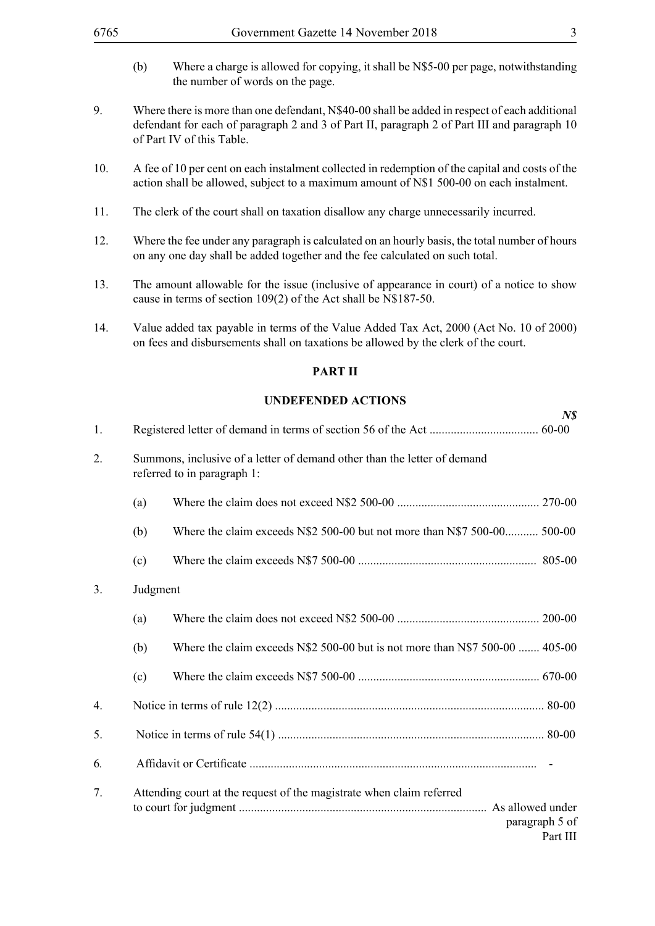- (b) Where a charge is allowed for copying, it shall be N\$5-00 per page, notwithstanding the number of words on the page.
- 9. Where there is more than one defendant, N\$40-00 shall be added in respect of each additional defendant for each of paragraph 2 and 3 of Part II, paragraph 2 of Part III and paragraph 10 of Part IV of this Table.
- 10. A fee of 10 per cent on each instalment collected in redemption of the capital and costs of the action shall be allowed, subject to a maximum amount of N\$1 500-00 on each instalment.
- 11. The clerk of the court shall on taxation disallow any charge unnecessarily incurred.
- 12. Where the fee under any paragraph is calculated on an hourly basis, the total number of hours on any one day shall be added together and the fee calculated on such total.
- 13. The amount allowable for the issue (inclusive of appearance in court) of a notice to show cause in terms of section 109(2) of the Act shall be N\$187-50.
- 14. Value added tax payable in terms of the Value Added Tax Act, 2000 (Act No. 10 of 2000) on fees and disbursements shall on taxations be allowed by the clerk of the court.

#### **PART II**

#### **UNDEFENDED ACTIONS**

|                |          |                                                                                                         | N <sub>s</sub>             |
|----------------|----------|---------------------------------------------------------------------------------------------------------|----------------------------|
| 1.             |          |                                                                                                         |                            |
| 2.             |          | Summons, inclusive of a letter of demand other than the letter of demand<br>referred to in paragraph 1: |                            |
|                | (a)      |                                                                                                         |                            |
|                | (b)      | Where the claim exceeds N\$2 500-00 but not more than N\$7 500-00 500-00                                |                            |
|                | (c)      |                                                                                                         |                            |
| 3 <sub>1</sub> | Judgment |                                                                                                         |                            |
|                | (a)      |                                                                                                         |                            |
|                | (b)      | Where the claim exceeds $N$2 500-00$ but is not more than $N$7 500-00$ 405-00                           |                            |
|                | (c)      |                                                                                                         |                            |
| 4.             |          |                                                                                                         |                            |
| 5.             |          |                                                                                                         |                            |
| 6.             |          |                                                                                                         |                            |
| 7.             |          | Attending court at the request of the magistrate when claim referred                                    | paragraph 5 of<br>Part III |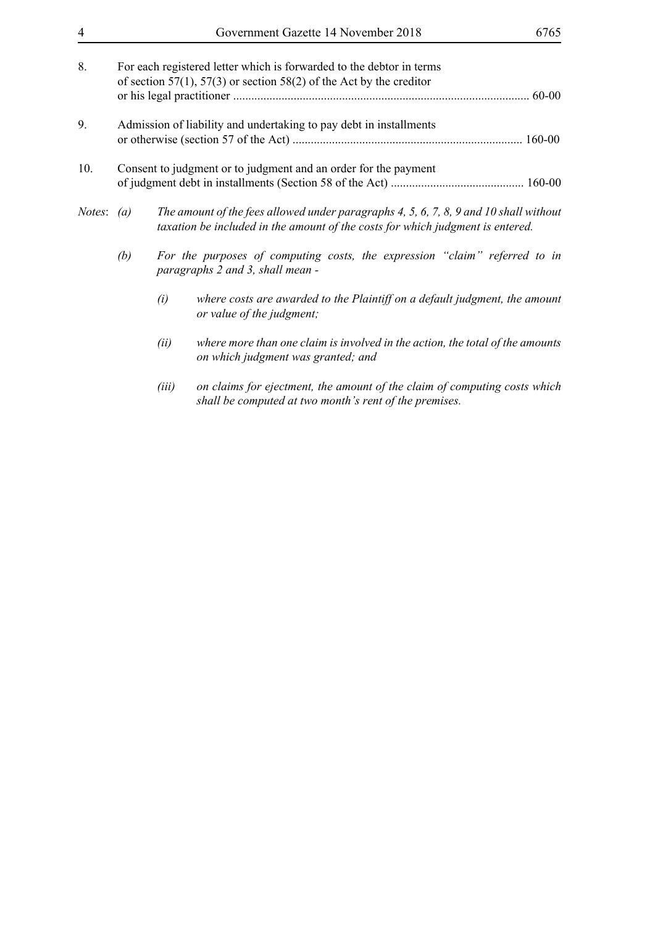| 8.<br>For each registered letter which is forwarded to the debtor in terms |                                                                    |       |                                                                                                                                                                         |  |  |
|----------------------------------------------------------------------------|--------------------------------------------------------------------|-------|-------------------------------------------------------------------------------------------------------------------------------------------------------------------------|--|--|
|                                                                            |                                                                    |       | of section 57(1), 57(3) or section 58(2) of the Act by the creditor<br>$60 - 00$                                                                                        |  |  |
| 9.                                                                         | Admission of liability and undertaking to pay debt in installments |       |                                                                                                                                                                         |  |  |
|                                                                            |                                                                    |       |                                                                                                                                                                         |  |  |
| 10.<br>Consent to judgment or to judgment and an order for the payment     |                                                                    |       |                                                                                                                                                                         |  |  |
|                                                                            |                                                                    |       |                                                                                                                                                                         |  |  |
| <i>Notes</i> : $(a)$                                                       |                                                                    |       | The amount of the fees allowed under paragraphs 4, 5, 6, 7, 8, 9 and 10 shall without<br>taxation be included in the amount of the costs for which judgment is entered. |  |  |
|                                                                            | (b)                                                                |       | For the purposes of computing costs, the expression "claim" referred to in<br>paragraphs 2 and 3, shall mean -                                                          |  |  |
|                                                                            |                                                                    | (i)   | where costs are awarded to the Plaintiff on a default judgment, the amount<br>or value of the judgment;                                                                 |  |  |
|                                                                            |                                                                    | (ii)  | where more than one claim is involved in the action, the total of the amounts<br>on which judgment was granted; and                                                     |  |  |
|                                                                            |                                                                    | (iii) | on claims for ejectment, the amount of the claim of computing costs which                                                                                               |  |  |

*shall be computed at two month's rent of the premises.*

4 Government Gazette 14 November 2018 6765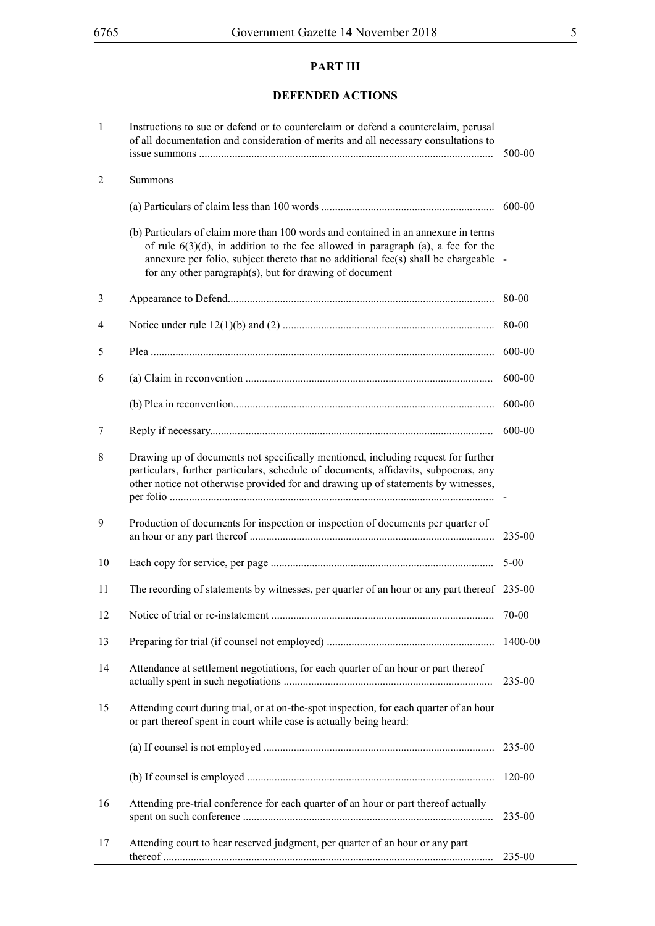# **PART III**

# **DEFENDED ACTIONS**

| $\mathbf{1}$   | Instructions to sue or defend or to counterclaim or defend a counterclaim, perusal<br>of all documentation and consideration of merits and all necessary consultations to                                                                                                                                                |          |  |
|----------------|--------------------------------------------------------------------------------------------------------------------------------------------------------------------------------------------------------------------------------------------------------------------------------------------------------------------------|----------|--|
| $\overline{2}$ | Summons                                                                                                                                                                                                                                                                                                                  |          |  |
|                |                                                                                                                                                                                                                                                                                                                          | 600-00   |  |
|                | (b) Particulars of claim more than 100 words and contained in an annexure in terms<br>of rule $6(3)(d)$ , in addition to the fee allowed in paragraph (a), a fee for the<br>annexure per folio, subject thereto that no additional fee(s) shall be chargeable<br>for any other paragraph(s), but for drawing of document |          |  |
| 3              |                                                                                                                                                                                                                                                                                                                          | 80-00    |  |
| 4              |                                                                                                                                                                                                                                                                                                                          | 80-00    |  |
| 5              |                                                                                                                                                                                                                                                                                                                          | 600-00   |  |
| 6              |                                                                                                                                                                                                                                                                                                                          | 600-00   |  |
|                |                                                                                                                                                                                                                                                                                                                          | 600-00   |  |
| $\tau$         |                                                                                                                                                                                                                                                                                                                          | 600-00   |  |
| 8              | Drawing up of documents not specifically mentioned, including request for further<br>particulars, further particulars, schedule of documents, affidavits, subpoenas, any<br>other notice not otherwise provided for and drawing up of statements by witnesses,                                                           |          |  |
| 9              | Production of documents for inspection or inspection of documents per quarter of                                                                                                                                                                                                                                         | 235-00   |  |
| 10             |                                                                                                                                                                                                                                                                                                                          | $5 - 00$ |  |
| 11             | The recording of statements by witnesses, per quarter of an hour or any part thereof                                                                                                                                                                                                                                     | 235-00   |  |
| 12             |                                                                                                                                                                                                                                                                                                                          | 70-00    |  |
| 13             |                                                                                                                                                                                                                                                                                                                          | 1400-00  |  |
| 14             | Attendance at settlement negotiations, for each quarter of an hour or part thereof                                                                                                                                                                                                                                       | 235-00   |  |
| 15             | Attending court during trial, or at on-the-spot inspection, for each quarter of an hour<br>or part thereof spent in court while case is actually being heard:                                                                                                                                                            |          |  |
|                |                                                                                                                                                                                                                                                                                                                          | 235-00   |  |
|                |                                                                                                                                                                                                                                                                                                                          | 120-00   |  |
| 16             | Attending pre-trial conference for each quarter of an hour or part thereof actually                                                                                                                                                                                                                                      | 235-00   |  |
| 17             | Attending court to hear reserved judgment, per quarter of an hour or any part                                                                                                                                                                                                                                            | 235-00   |  |
|                |                                                                                                                                                                                                                                                                                                                          |          |  |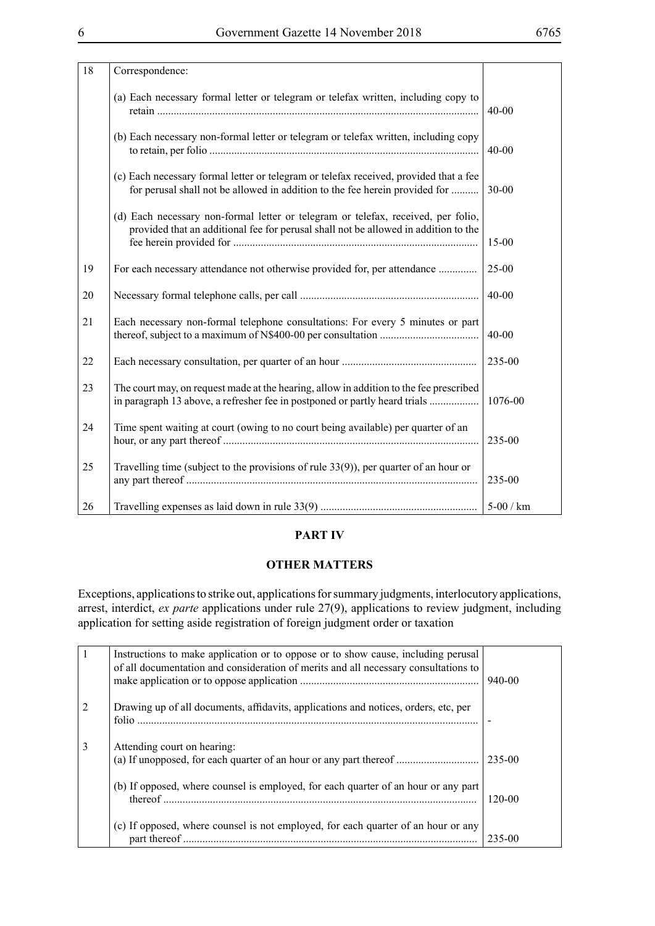| 18 |                                                                                                                                                                          |           |
|----|--------------------------------------------------------------------------------------------------------------------------------------------------------------------------|-----------|
|    | Correspondence:                                                                                                                                                          |           |
|    | (a) Each necessary formal letter or telegram or telefax written, including copy to                                                                                       | $40-00$   |
|    | (b) Each necessary non-formal letter or telegram or telefax written, including copy                                                                                      | $40 - 00$ |
|    | (c) Each necessary formal letter or telegram or telefax received, provided that a fee<br>for perusal shall not be allowed in addition to the fee herein provided for     | $30 - 00$ |
|    | (d) Each necessary non-formal letter or telegram or telefax, received, per folio,<br>provided that an additional fee for perusal shall not be allowed in addition to the | $15 - 00$ |
| 19 | For each necessary attendance not otherwise provided for, per attendance                                                                                                 | 25-00     |
| 20 |                                                                                                                                                                          | $40 - 00$ |
| 21 | Each necessary non-formal telephone consultations: For every 5 minutes or part                                                                                           | $40 - 00$ |
| 22 |                                                                                                                                                                          | 235-00    |
| 23 | The court may, on request made at the hearing, allow in addition to the fee prescribed<br>in paragraph 13 above, a refresher fee in postponed or partly heard trials     | 1076-00   |
| 24 | Time spent waiting at court (owing to no court being available) per quarter of an                                                                                        | 235-00    |
| 25 | Travelling time (subject to the provisions of rule $33(9)$ ), per quarter of an hour or                                                                                  | 235-00    |
| 26 |                                                                                                                                                                          | 5-00 / km |

#### **PART IV**

#### **OTHER MATTERS**

Exceptions, applications to strike out, applications for summary judgments, interlocutory applications, arrest, interdict, *ex parte* applications under rule 27(9), applications to review judgment, including application for setting aside registration of foreign judgment order or taxation

|                | Instructions to make application or to oppose or to show cause, including perusal<br>of all documentation and consideration of merits and all necessary consultations to | 940-00     |
|----------------|--------------------------------------------------------------------------------------------------------------------------------------------------------------------------|------------|
| $\overline{c}$ | Drawing up of all documents, affidavits, applications and notices, orders, etc. per                                                                                      |            |
| 3              | Attending court on hearing:                                                                                                                                              | 235-00     |
|                | (b) If opposed, where counsel is employed, for each quarter of an hour or any part                                                                                       | $120 - 00$ |
|                | (c) If opposed, where counsel is not employed, for each quarter of an hour or any                                                                                        | 235-00     |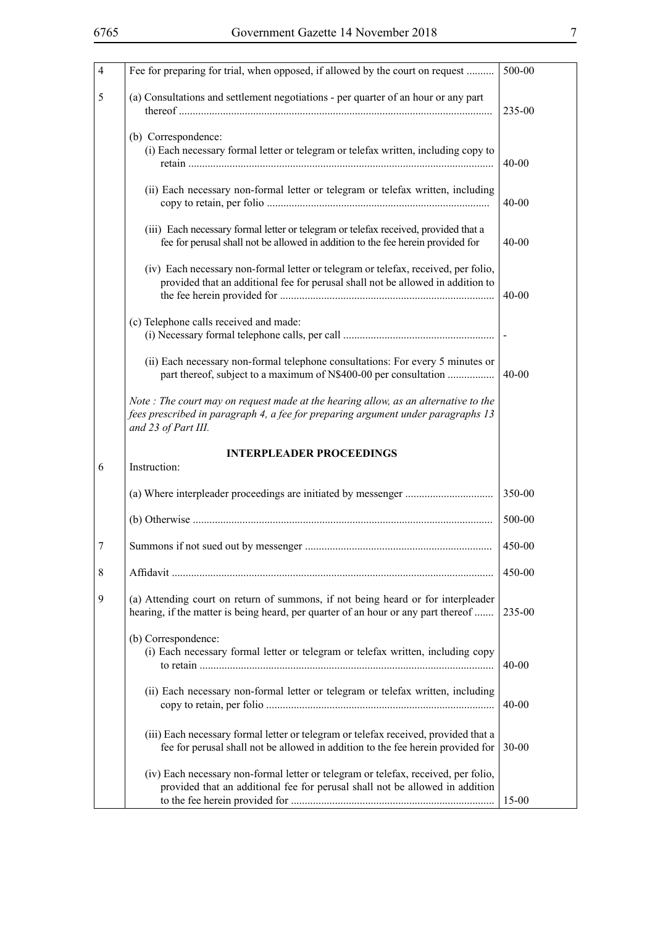| $\overline{4}$ | Fee for preparing for trial, when opposed, if allowed by the court on request                                                                                                                 | 500-00                 |
|----------------|-----------------------------------------------------------------------------------------------------------------------------------------------------------------------------------------------|------------------------|
| 5              | (a) Consultations and settlement negotiations - per quarter of an hour or any part                                                                                                            | 235-00                 |
|                | (b) Correspondence:<br>(i) Each necessary formal letter or telegram or telefax written, including copy to<br>(ii) Each necessary non-formal letter or telegram or telefax written, including  | $40 - 00$<br>$40 - 00$ |
|                | (iii) Each necessary formal letter or telegram or telefax received, provided that a<br>fee for perusal shall not be allowed in addition to the fee herein provided for                        | $40 - 00$              |
|                | (iv) Each necessary non-formal letter or telegram or telefax, received, per folio,<br>provided that an additional fee for perusal shall not be allowed in addition to                         | $40 - 00$              |
|                | (c) Telephone calls received and made:                                                                                                                                                        |                        |
|                | (ii) Each necessary non-formal telephone consultations: For every 5 minutes or<br>part thereof, subject to a maximum of N\$400-00 per consultation                                            | $40 - 00$              |
|                | Note: The court may on request made at the hearing allow, as an alternative to the<br>fees prescribed in paragraph 4, a fee for preparing argument under paragraphs 13<br>and 23 of Part III. |                        |
|                | <b>INTERPLEADER PROCEEDINGS</b>                                                                                                                                                               |                        |
| 6              | Instruction:                                                                                                                                                                                  |                        |
|                |                                                                                                                                                                                               | 350-00                 |
|                |                                                                                                                                                                                               | 500-00                 |
| 7              |                                                                                                                                                                                               | 450-00                 |
| 8              |                                                                                                                                                                                               | 450-00                 |
| 9              | (a) Attending court on return of summons, if not being heard or for interpleader<br>hearing, if the matter is being heard, per quarter of an hour or any part thereof                         | 235-00                 |
|                | (b) Correspondence:<br>(i) Each necessary formal letter or telegram or telefax written, including copy                                                                                        | $40 - 00$              |
|                | (ii) Each necessary non-formal letter or telegram or telefax written, including                                                                                                               | $40 - 00$              |
|                | (iii) Each necessary formal letter or telegram or telefax received, provided that a<br>fee for perusal shall not be allowed in addition to the fee herein provided for                        | $30 - 00$              |
|                | (iv) Each necessary non-formal letter or telegram or telefax, received, per folio,<br>provided that an additional fee for perusal shall not be allowed in addition                            | $15 - 00$              |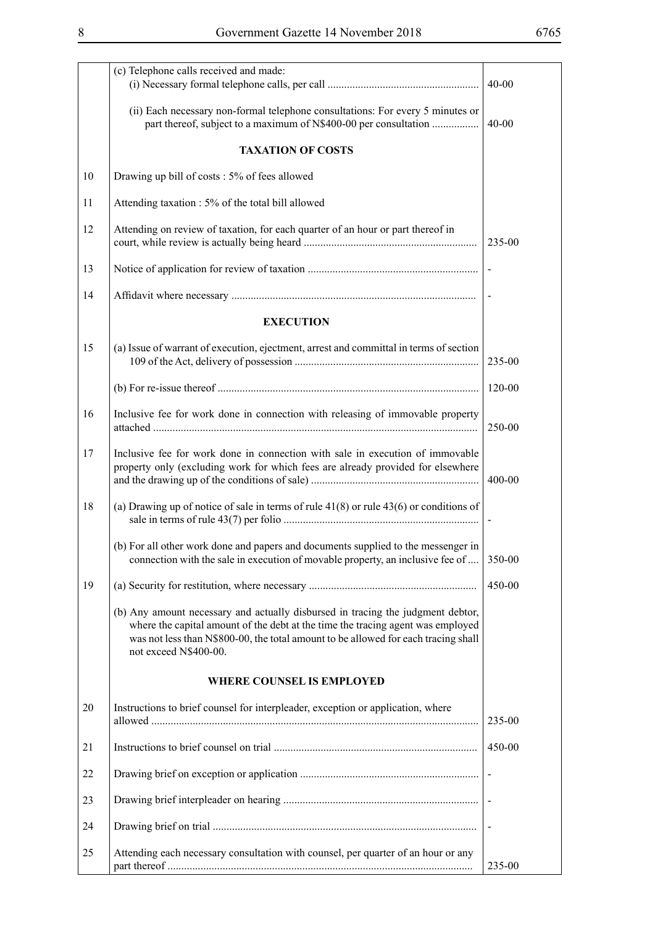|    | (c) Telephone calls received and made:<br>$40 - 00$                                                                                                                                                                                                                               |                          |  |
|----|-----------------------------------------------------------------------------------------------------------------------------------------------------------------------------------------------------------------------------------------------------------------------------------|--------------------------|--|
|    | (ii) Each necessary non-formal telephone consultations: For every 5 minutes or<br>part thereof, subject to a maximum of N\$400-00 per consultation                                                                                                                                | $40 - 00$                |  |
|    | <b>TAXATION OF COSTS</b>                                                                                                                                                                                                                                                          |                          |  |
| 10 | Drawing up bill of costs : 5% of fees allowed                                                                                                                                                                                                                                     |                          |  |
| 11 | Attending taxation : 5% of the total bill allowed                                                                                                                                                                                                                                 |                          |  |
| 12 | Attending on review of taxation, for each quarter of an hour or part thereof in                                                                                                                                                                                                   | 235-00                   |  |
| 13 |                                                                                                                                                                                                                                                                                   |                          |  |
| 14 |                                                                                                                                                                                                                                                                                   |                          |  |
|    | <b>EXECUTION</b>                                                                                                                                                                                                                                                                  |                          |  |
| 15 | (a) Issue of warrant of execution, ejectment, arrest and committal in terms of section                                                                                                                                                                                            | 235-00                   |  |
|    |                                                                                                                                                                                                                                                                                   | $120 - 00$               |  |
| 16 | Inclusive fee for work done in connection with releasing of immovable property                                                                                                                                                                                                    | 250-00                   |  |
| 17 | Inclusive fee for work done in connection with sale in execution of immovable<br>property only (excluding work for which fees are already provided for elsewhere                                                                                                                  | 400-00                   |  |
| 18 | (a) Drawing up of notice of sale in terms of rule $41(8)$ or rule $43(6)$ or conditions of                                                                                                                                                                                        | $\overline{\phantom{a}}$ |  |
|    | (b) For all other work done and papers and documents supplied to the messenger in<br>connection with the sale in execution of movable property, an inclusive fee of                                                                                                               | 350-00                   |  |
| 19 |                                                                                                                                                                                                                                                                                   | 450-00                   |  |
|    | (b) Any amount necessary and actually disbursed in tracing the judgment debtor,<br>where the capital amount of the debt at the time the tracing agent was employed<br>was not less than N\$800-00, the total amount to be allowed for each tracing shall<br>not exceed N\$400-00. |                          |  |
|    | <b>WHERE COUNSEL IS EMPLOYED</b>                                                                                                                                                                                                                                                  |                          |  |
| 20 | Instructions to brief counsel for interpleader, exception or application, where                                                                                                                                                                                                   | 235-00                   |  |
| 21 |                                                                                                                                                                                                                                                                                   | 450-00                   |  |
| 22 |                                                                                                                                                                                                                                                                                   |                          |  |
| 23 |                                                                                                                                                                                                                                                                                   |                          |  |
| 24 |                                                                                                                                                                                                                                                                                   |                          |  |
| 25 | Attending each necessary consultation with counsel, per quarter of an hour or any                                                                                                                                                                                                 | 235-00                   |  |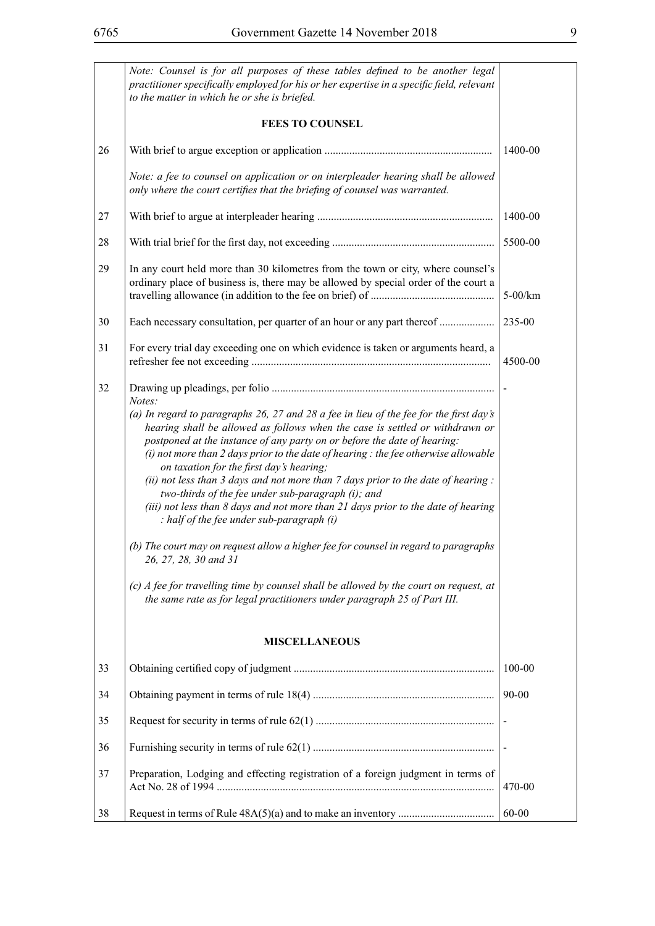|    | Note: Counsel is for all purposes of these tables defined to be another legal<br>practitioner specifically employed for his or her expertise in a specific field, relevant<br>to the matter in which he or she is briefed.                                                                                                                                                                                                                                                                                                                                                                                                                                                                                                                                                                                                                                                                                                                                                                        |            |  |  |  |
|----|---------------------------------------------------------------------------------------------------------------------------------------------------------------------------------------------------------------------------------------------------------------------------------------------------------------------------------------------------------------------------------------------------------------------------------------------------------------------------------------------------------------------------------------------------------------------------------------------------------------------------------------------------------------------------------------------------------------------------------------------------------------------------------------------------------------------------------------------------------------------------------------------------------------------------------------------------------------------------------------------------|------------|--|--|--|
|    | <b>FEES TO COUNSEL</b>                                                                                                                                                                                                                                                                                                                                                                                                                                                                                                                                                                                                                                                                                                                                                                                                                                                                                                                                                                            |            |  |  |  |
| 26 |                                                                                                                                                                                                                                                                                                                                                                                                                                                                                                                                                                                                                                                                                                                                                                                                                                                                                                                                                                                                   | 1400-00    |  |  |  |
|    | Note: a fee to counsel on application or on interpleader hearing shall be allowed<br>only where the court certifies that the briefing of counsel was warranted.                                                                                                                                                                                                                                                                                                                                                                                                                                                                                                                                                                                                                                                                                                                                                                                                                                   |            |  |  |  |
| 27 |                                                                                                                                                                                                                                                                                                                                                                                                                                                                                                                                                                                                                                                                                                                                                                                                                                                                                                                                                                                                   | 1400-00    |  |  |  |
| 28 |                                                                                                                                                                                                                                                                                                                                                                                                                                                                                                                                                                                                                                                                                                                                                                                                                                                                                                                                                                                                   | 5500-00    |  |  |  |
| 29 | In any court held more than 30 kilometres from the town or city, where counsel's<br>ordinary place of business is, there may be allowed by special order of the court a                                                                                                                                                                                                                                                                                                                                                                                                                                                                                                                                                                                                                                                                                                                                                                                                                           | $5-00/km$  |  |  |  |
| 30 | Each necessary consultation, per quarter of an hour or any part thereof                                                                                                                                                                                                                                                                                                                                                                                                                                                                                                                                                                                                                                                                                                                                                                                                                                                                                                                           | 235-00     |  |  |  |
| 31 | For every trial day exceeding one on which evidence is taken or arguments heard, a                                                                                                                                                                                                                                                                                                                                                                                                                                                                                                                                                                                                                                                                                                                                                                                                                                                                                                                | 4500-00    |  |  |  |
| 32 | Notes:<br>(a) In regard to paragraphs 26, 27 and 28 a fee in lieu of the fee for the first day's<br>hearing shall be allowed as follows when the case is settled or withdrawn or<br>postponed at the instance of any party on or before the date of hearing:<br>$(i)$ not more than 2 days prior to the date of hearing : the fee otherwise allowable<br>on taxation for the first day's hearing;<br>(ii) not less than $3$ days and not more than $7$ days prior to the date of hearing :<br>two-thirds of the fee under sub-paragraph (i); and<br>(iii) not less than 8 days and not more than 21 days prior to the date of hearing<br>$: half of the fee under sub-paragraph (i)$<br>(b) The court may on request allow a higher fee for counsel in regard to paragraphs<br>26, 27, 28, 30 and 31<br>(c) A fee for travelling time by counsel shall be allowed by the court on request, at<br>the same rate as for legal practitioners under paragraph 25 of Part III.<br><b>MISCELLANEOUS</b> |            |  |  |  |
| 33 |                                                                                                                                                                                                                                                                                                                                                                                                                                                                                                                                                                                                                                                                                                                                                                                                                                                                                                                                                                                                   | $100 - 00$ |  |  |  |
| 34 |                                                                                                                                                                                                                                                                                                                                                                                                                                                                                                                                                                                                                                                                                                                                                                                                                                                                                                                                                                                                   | 90-00      |  |  |  |
| 35 |                                                                                                                                                                                                                                                                                                                                                                                                                                                                                                                                                                                                                                                                                                                                                                                                                                                                                                                                                                                                   |            |  |  |  |
| 36 |                                                                                                                                                                                                                                                                                                                                                                                                                                                                                                                                                                                                                                                                                                                                                                                                                                                                                                                                                                                                   |            |  |  |  |
| 37 | Preparation, Lodging and effecting registration of a foreign judgment in terms of                                                                                                                                                                                                                                                                                                                                                                                                                                                                                                                                                                                                                                                                                                                                                                                                                                                                                                                 | 470-00     |  |  |  |
| 38 |                                                                                                                                                                                                                                                                                                                                                                                                                                                                                                                                                                                                                                                                                                                                                                                                                                                                                                                                                                                                   | 60-00      |  |  |  |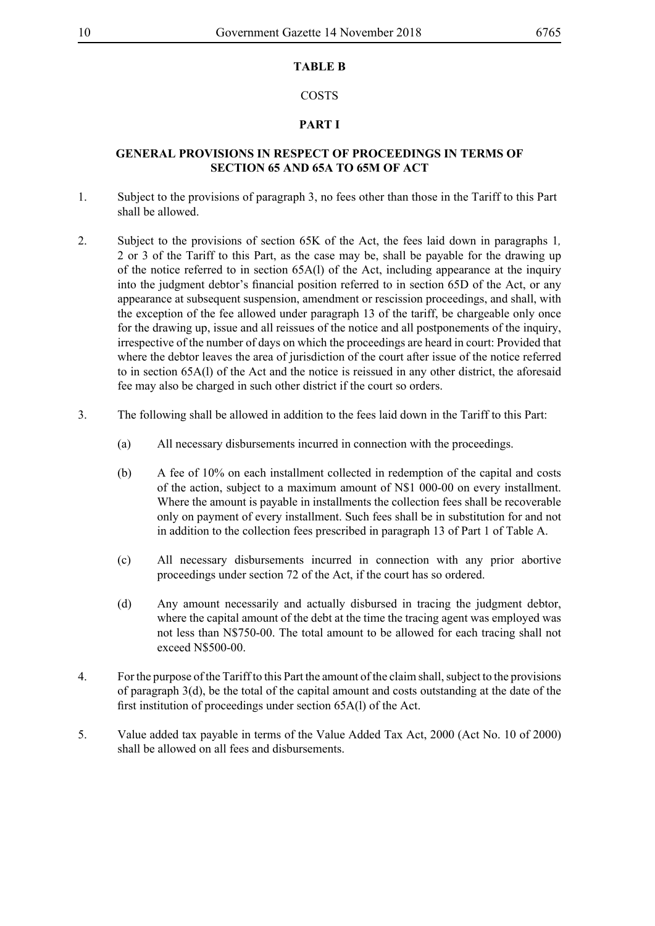#### **TABLE B**

#### COSTS

### **PART I**

#### **GENERAL PROVISIONS IN RESPECT OF PROCEEDINGS IN TERMS OF SECTION 65 AND 65A TO 65M OF ACT**

- 1. Subject to the provisions of paragraph 3, no fees other than those in the Tariff to this Part shall be allowed.
- 2. Subject to the provisions of section 65K of the Act, the fees laid down in paragraphs 1*,*  2 or 3 of the Tariff to this Part, as the case may be, shall be payable for the drawing up of the notice referred to in section 65A(l) of the Act, including appearance at the inquiry into the judgment debtor's financial position referred to in section 65D of the Act, or any appearance at subsequent suspension, amendment or rescission proceedings, and shall, with the exception of the fee allowed under paragraph 13 of the tariff, be chargeable only once for the drawing up, issue and all reissues of the notice and all postponements of the inquiry, irrespective of the number of days on which the proceedings are heard in court: Provided that where the debtor leaves the area of jurisdiction of the court after issue of the notice referred to in section 65A(l) of the Act and the notice is reissued in any other district, the aforesaid fee may also be charged in such other district if the court so orders.
- 3. The following shall be allowed in addition to the fees laid down in the Tariff to this Part:
	- (a) All necessary disbursements incurred in connection with the proceedings.
	- (b) A fee of 10% on each installment collected in redemption of the capital and costs of the action, subject to a maximum amount of N\$1 000-00 on every installment. Where the amount is payable in installments the collection fees shall be recoverable only on payment of every installment. Such fees shall be in substitution for and not in addition to the collection fees prescribed in paragraph 13 of Part 1 of Table A.
	- (c) All necessary disbursements incurred in connection with any prior abortive proceedings under section 72 of the Act, if the court has so ordered.
	- (d) Any amount necessarily and actually disbursed in tracing the judgment debtor, where the capital amount of the debt at the time the tracing agent was employed was not less than N\$750-00. The total amount to be allowed for each tracing shall not exceed N\$500-00.
- 4. For the purpose of the Tariff to this Part the amount of the claim shall, subject to the provisions of paragraph  $3(d)$ , be the total of the capital amount and costs outstanding at the date of the first institution of proceedings under section 65A(l) of the Act.
- 5. Value added tax payable in terms of the Value Added Tax Act, 2000 (Act No. 10 of 2000) shall be allowed on all fees and disbursements.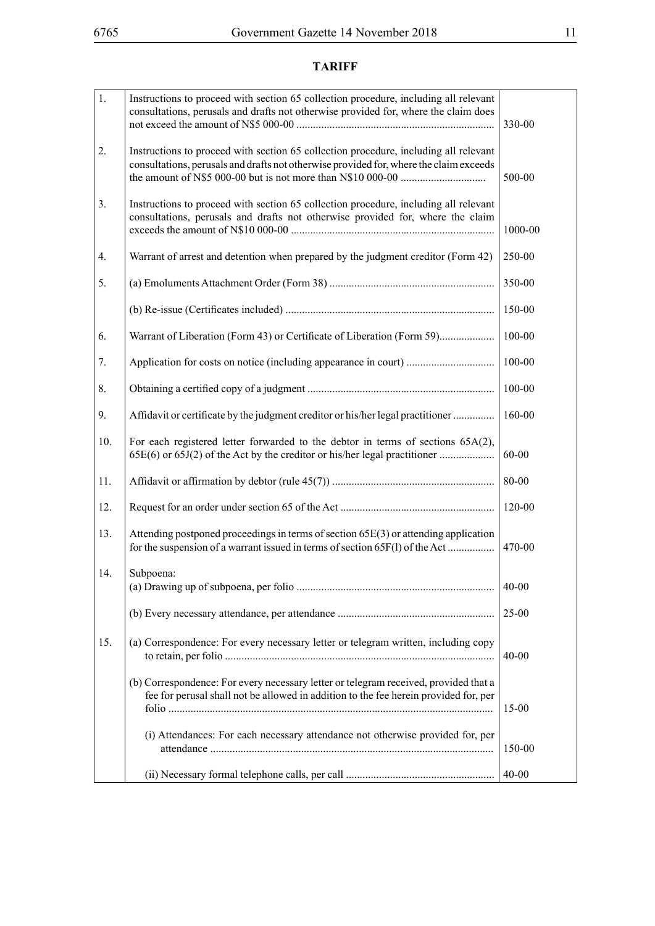# **TARIFF**

| 1.  | Instructions to proceed with section 65 collection procedure, including all relevant<br>consultations, perusals and drafts not otherwise provided for, where the claim does    | 330-00     |
|-----|--------------------------------------------------------------------------------------------------------------------------------------------------------------------------------|------------|
| 2.  | Instructions to proceed with section 65 collection procedure, including all relevant<br>consultations, perusals and drafts not otherwise provided for, where the claim exceeds | 500-00     |
| 3.  | Instructions to proceed with section 65 collection procedure, including all relevant<br>consultations, perusals and drafts not otherwise provided for, where the claim         | 1000-00    |
| 4.  | Warrant of arrest and detention when prepared by the judgment creditor (Form 42)                                                                                               | 250-00     |
| 5.  |                                                                                                                                                                                | 350-00     |
|     |                                                                                                                                                                                | 150-00     |
| 6.  |                                                                                                                                                                                | 100-00     |
| 7.  |                                                                                                                                                                                | $100 - 00$ |
| 8.  |                                                                                                                                                                                | $100 - 00$ |
| 9.  | Affidavit or certificate by the judgment creditor or his/her legal practitioner                                                                                                | 160-00     |
| 10. | For each registered letter forwarded to the debtor in terms of sections 65A(2),<br>65E(6) or 65J(2) of the Act by the creditor or his/her legal practitioner                   | $60 - 00$  |
| 11. |                                                                                                                                                                                | $80 - 00$  |
| 12. |                                                                                                                                                                                | 120-00     |
| 13. | Attending postponed proceedings in terms of section 65E(3) or attending application<br>for the suspension of a warrant issued in terms of section 65F(1) of the Act            | 470-00     |
| 14. | Subpoena:                                                                                                                                                                      | $40 - 00$  |
|     |                                                                                                                                                                                | $25 - 00$  |
| 15. | (a) Correspondence: For every necessary letter or telegram written, including copy                                                                                             | $40 - 00$  |
|     | (b) Correspondence: For every necessary letter or telegram received, provided that a<br>fee for perusal shall not be allowed in addition to the fee herein provided for, per   | $15-00$    |
|     | (i) Attendances: For each necessary attendance not otherwise provided for, per                                                                                                 | 150-00     |
|     |                                                                                                                                                                                | $40 - 00$  |
|     |                                                                                                                                                                                |            |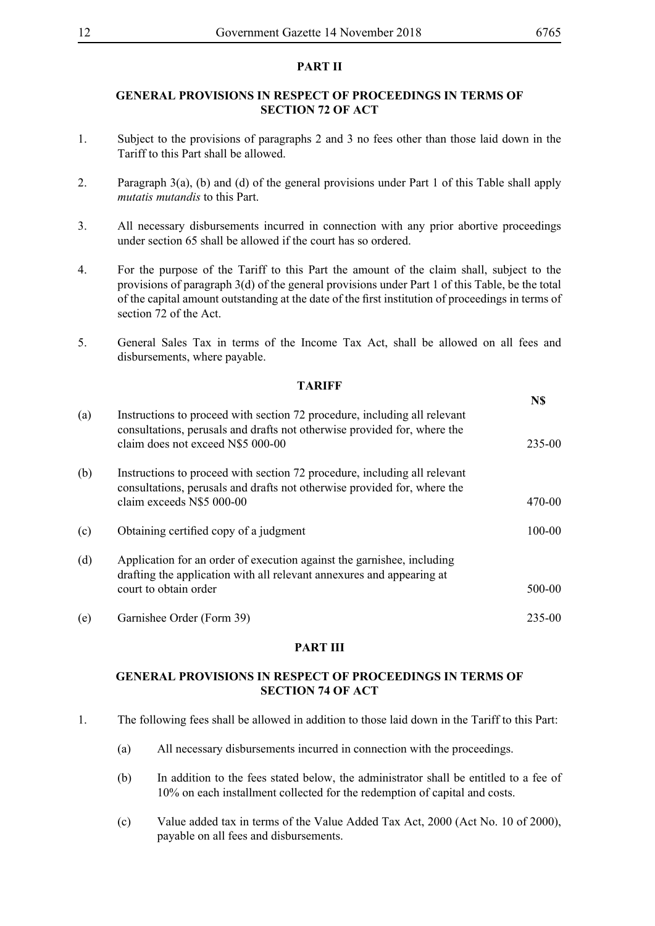## **PART II**

### **GENERAL PROVISIONS IN RESPECT OF PROCEEDINGS IN TERMS OF SECTION 72 OF ACT**

- 1. Subject to the provisions of paragraphs 2 and 3 no fees other than those laid down in the Tariff to this Part shall be allowed.
- 2. Paragraph 3(a), (b) and (d) of the general provisions under Part 1 of this Table shall apply *mutatis mutandis* to this Part.
- 3. All necessary disbursements incurred in connection with any prior abortive proceedings under section 65 shall be allowed if the court has so ordered.
- 4. For the purpose of the Tariff to this Part the amount of the claim shall, subject to the provisions of paragraph 3(d) of the general provisions under Part 1 of this Table, be the total of the capital amount outstanding at the date of the first institution of proceedings in terms of section 72 of the Act.
- 5. General Sales Tax in terms of the Income Tax Act, shall be allowed on all fees and disbursements, where payable.

**TARIFF**

|     |                                                                                                                                                                                            | N\$        |
|-----|--------------------------------------------------------------------------------------------------------------------------------------------------------------------------------------------|------------|
| (a) | Instructions to proceed with section 72 procedure, including all relevant<br>consultations, perusals and drafts not otherwise provided for, where the<br>claim does not exceed N\$5 000-00 | 235-00     |
| (b) | Instructions to proceed with section 72 procedure, including all relevant<br>consultations, perusals and drafts not otherwise provided for, where the<br>claim exceeds N\$5 000-00         | 470-00     |
| (c) | Obtaining certified copy of a judgment                                                                                                                                                     | $100 - 00$ |
| (d) | Application for an order of execution against the garnishee, including<br>drafting the application with all relevant annexures and appearing at<br>court to obtain order                   | 500-00     |
| (e) | Garnishee Order (Form 39)                                                                                                                                                                  | 235-00     |

#### **PART III**

## **GENERAL PROVISIONS IN RESPECT OF PROCEEDINGS IN TERMS OF SECTION 74 OF ACT**

- 1. The following fees shall be allowed in addition to those laid down in the Tariff to this Part:
	- (a) All necessary disbursements incurred in connection with the proceedings.
	- (b) In addition to the fees stated below, the administrator shall be entitled to a fee of 10% on each installment collected for the redemption of capital and costs.
	- (c) Value added tax in terms of the Value Added Tax Act, 2000 (Act No. 10 of 2000), payable on all fees and disbursements.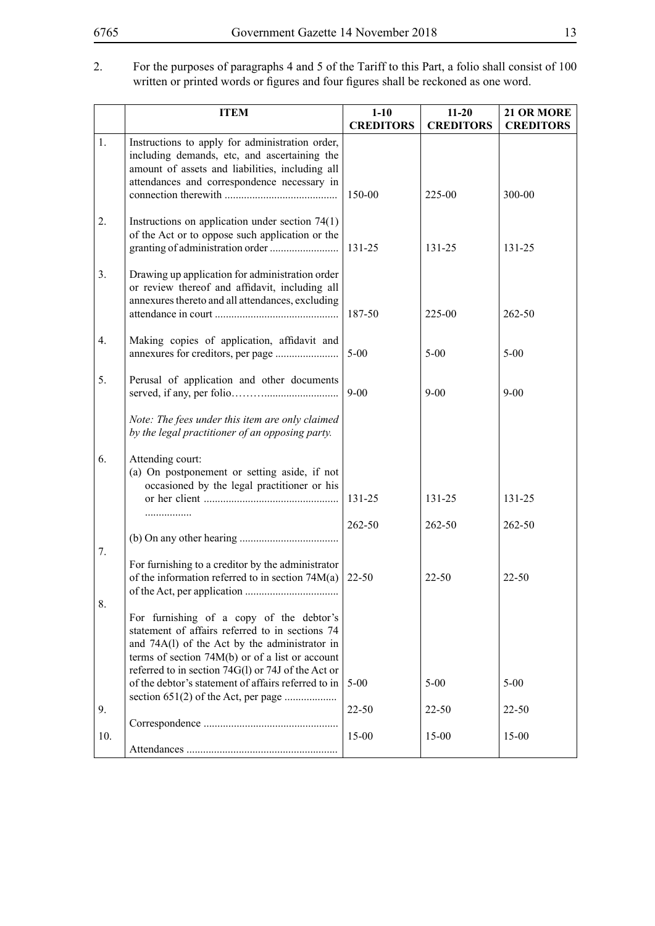#### 2. For the purposes of paragraphs 4 and 5 of the Tariff to this Part, a folio shall consist of 100 written or printed words or figures and four figures shall be reckoned as one word.

|                  | <b>ITEM</b>                                                                                                                                                                                       | $1-10$           | $11 - 20$        | 21 OR MORE       |
|------------------|---------------------------------------------------------------------------------------------------------------------------------------------------------------------------------------------------|------------------|------------------|------------------|
|                  |                                                                                                                                                                                                   | <b>CREDITORS</b> | <b>CREDITORS</b> | <b>CREDITORS</b> |
| 1.               | Instructions to apply for administration order,<br>including demands, etc, and ascertaining the<br>amount of assets and liabilities, including all<br>attendances and correspondence necessary in |                  |                  |                  |
|                  |                                                                                                                                                                                                   | 150-00           | 225-00           | 300-00           |
| 2.               | Instructions on application under section $74(1)$<br>of the Act or to oppose such application or the                                                                                              | 131-25           | 131-25           | 131-25           |
| 3.               | Drawing up application for administration order<br>or review thereof and affidavit, including all<br>annexures thereto and all attendances, excluding                                             | 187-50           | 225-00           | 262-50           |
|                  |                                                                                                                                                                                                   |                  |                  |                  |
| $\overline{4}$ . | Making copies of application, affidavit and                                                                                                                                                       | $5 - 00$         | $5 - 00$         | $5 - 00$         |
| 5.               | Perusal of application and other documents                                                                                                                                                        | $9 - 00$         | $9 - 00$         | $9 - 00$         |
|                  | Note: The fees under this item are only claimed<br>by the legal practitioner of an opposing party.                                                                                                |                  |                  |                  |
| 6.               | Attending court:<br>(a) On postponement or setting aside, if not<br>occasioned by the legal practitioner or his                                                                                   |                  |                  |                  |
|                  |                                                                                                                                                                                                   | 131-25           | 131-25           | 131-25           |
|                  |                                                                                                                                                                                                   | 262-50           | 262-50           | 262-50           |
| 7.               |                                                                                                                                                                                                   |                  |                  |                  |
| 8.               | For furnishing to a creditor by the administrator<br>of the information referred to in section $74M(a)$                                                                                           | $22 - 50$        | $22 - 50$        | $22 - 50$        |
|                  | For furnishing of a copy of the debtor's<br>statement of affairs referred to in sections 74<br>and 74A(l) of the Act by the administrator in<br>terms of section $74M(b)$ or of a list or account |                  |                  |                  |
|                  | referred to in section 74G(l) or 74J of the Act or                                                                                                                                                |                  |                  |                  |
|                  | of the debtor's statement of affairs referred to in                                                                                                                                               | $5 - 00$         | $5 - 00$         | $5 - 00$         |
| 9.               |                                                                                                                                                                                                   | $22 - 50$        | $22 - 50$        | 22-50            |
|                  |                                                                                                                                                                                                   |                  |                  |                  |
| 10.              |                                                                                                                                                                                                   | $15 - 00$        | $15 - 00$        | 15-00            |
|                  |                                                                                                                                                                                                   |                  |                  |                  |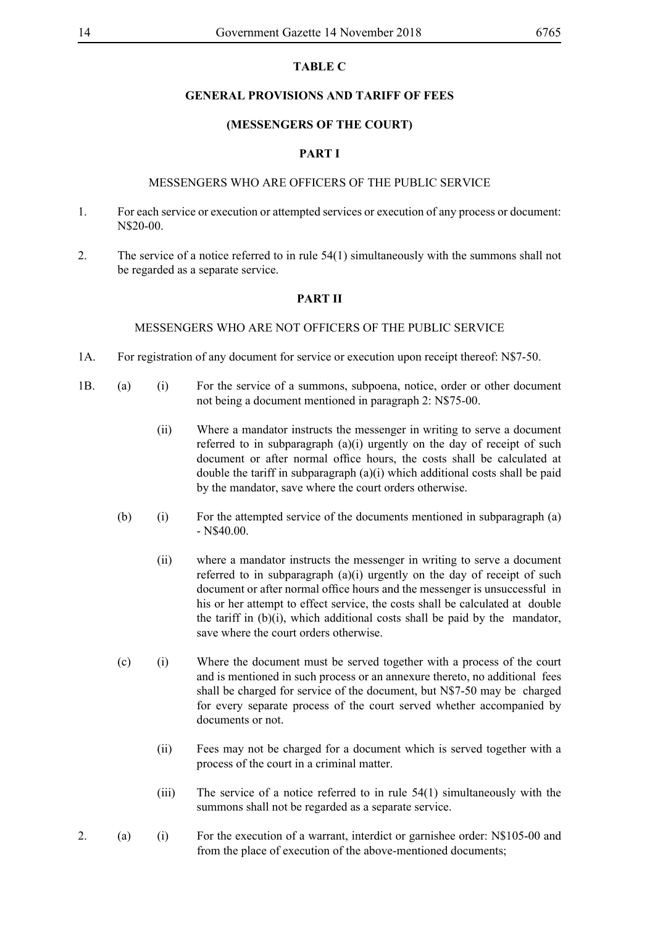#### **TABLE C**

#### **GENERAL PROVISIONS AND TARIFF OF FEES**

#### **(MESSENGERS OF THE COURT)**

#### **PART I**

#### MESSENGERS WHO ARE OFFICERS OF THE PUBLIC SERVICE

- 1. For each service or execution or attempted services or execution of any process or document: N\$20-00.
- 2. The service of a notice referred to in rule 54(1) simultaneously with the summons shall not be regarded as a separate service.

#### **PART II**

#### MESSENGERS WHO ARE NOT OFFICERS OF THE PUBLIC SERVICE

- 1A. For registration of any document for service or execution upon receipt thereof: N\$7-50.
- 1B. (a) (i) For the service of a summons, subpoena, notice, order or other document not being a document mentioned in paragraph 2: N\$75-00.
	- (ii) Where a mandator instructs the messenger in writing to serve a document referred to in subparagraph (a)(i) urgently on the day of receipt of such document or after normal office hours, the costs shall be calculated at double the tariff in subparagraph (a)(i) which additional costs shall be paid by the mandator, save where the court orders otherwise.
	- (b) (i) For the attempted service of the documents mentioned in subparagraph (a) - N\$40.00.
		- (ii) where a mandator instructs the messenger in writing to serve a document referred to in subparagraph (a)(i) urgently on the day of receipt of such document or after normal office hours and the messenger is unsuccessful in his or her attempt to effect service, the costs shall be calculated at double the tariff in (b)(i), which additional costs shall be paid by the mandator, save where the court orders otherwise.
	- (c) (i) Where the document must be served together with a process of the court and is mentioned in such process or an annexure thereto, no additional fees shall be charged for service of the document, but N\$7-50 may be charged for every separate process of the court served whether accompanied by documents or not.
		- (ii) Fees may not be charged for a document which is served together with a process of the court in a criminal matter.
		- (iii) The service of a notice referred to in rule 54(1) simultaneously with the summons shall not be regarded as a separate service.
- 2. (a) (i) For the execution of a warrant, interdict or garnishee order: N\$105-00 and from the place of execution of the above-mentioned documents;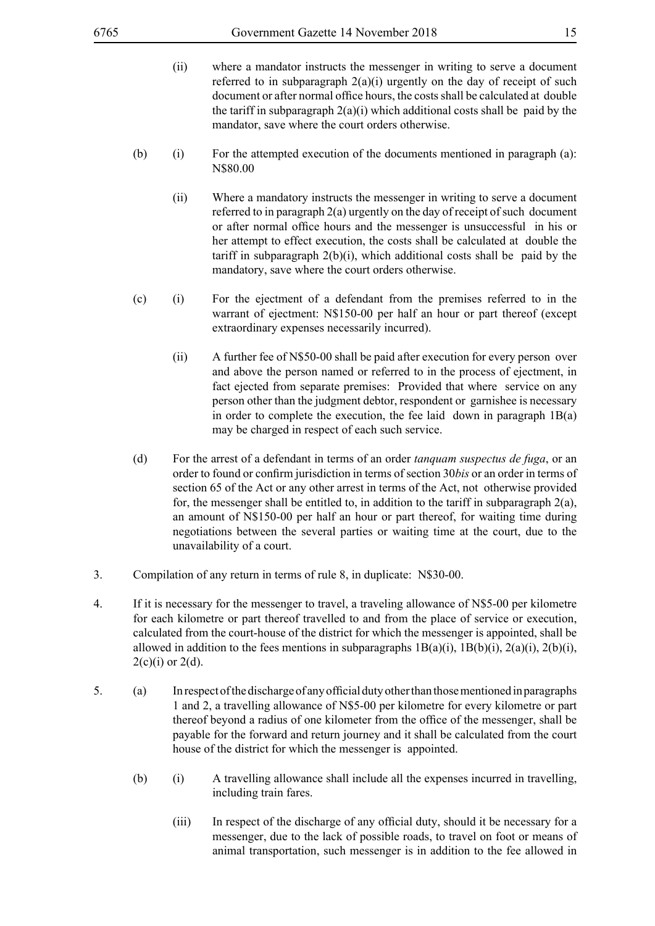- (ii) where a mandator instructs the messenger in writing to serve a document referred to in subparagraph  $2(a)(i)$  urgently on the day of receipt of such document or after normal office hours, the costs shall be calculated at double the tariff in subparagraph  $2(a)(i)$  which additional costs shall be paid by the mandator, save where the court orders otherwise.
- (b) (i) For the attempted execution of the documents mentioned in paragraph (a): N\$80.00
	- (ii) Where a mandatory instructs the messenger in writing to serve a document referred to in paragraph 2(a) urgently on the day of receipt of such document or after normal office hours and the messenger is unsuccessful in his or her attempt to effect execution, the costs shall be calculated at double the tariff in subparagraph  $2(b)(i)$ , which additional costs shall be paid by the mandatory, save where the court orders otherwise.
- (c) (i) For the ejectment of a defendant from the premises referred to in the warrant of ejectment: N\$150-00 per half an hour or part thereof (except extraordinary expenses necessarily incurred).
	- (ii) A further fee of N\$50-00 shall be paid after execution for every person over and above the person named or referred to in the process of ejectment, in fact ejected from separate premises: Provided that where service on any person other than the judgment debtor, respondent or garnishee is necessary in order to complete the execution, the fee laid down in paragraph  $1B(a)$ may be charged in respect of each such service.
- (d) For the arrest of a defendant in terms of an order *tanquam suspectus de fuga*, or an order to found or confirm jurisdiction in terms of section 30*bis* or an order in terms of section 65 of the Act or any other arrest in terms of the Act, not otherwise provided for, the messenger shall be entitled to, in addition to the tariff in subparagraph  $2(a)$ , an amount of N\$150-00 per half an hour or part thereof, for waiting time during negotiations between the several parties or waiting time at the court, due to the unavailability of a court.
- 3. Compilation of any return in terms of rule 8, in duplicate: N\$30-00.
- 4. If it is necessary for the messenger to travel, a traveling allowance of N\$5-00 per kilometre for each kilometre or part thereof travelled to and from the place of service or execution, calculated from the court-house of the district for which the messenger is appointed, shall be allowed in addition to the fees mentions in subparagraphs  $1B(a)(i)$ ,  $1B(b)(i)$ ,  $2(a)(i)$ ,  $2(b)(i)$ ,  $2(c)(i)$  or  $2(d)$ .
- 5. (a) In respect of the discharge of any official duty other than those mentioned in paragraphs 1 and 2, a travelling allowance of N\$5-00 per kilometre for every kilometre or part thereof beyond a radius of one kilometer from the office of the messenger, shall be payable for the forward and return journey and it shall be calculated from the court house of the district for which the messenger is appointed.
	- (b) (i) A travelling allowance shall include all the expenses incurred in travelling, including train fares.
		- (iii) In respect of the discharge of any official duty, should it be necessary for a messenger, due to the lack of possible roads, to travel on foot or means of animal transportation, such messenger is in addition to the fee allowed in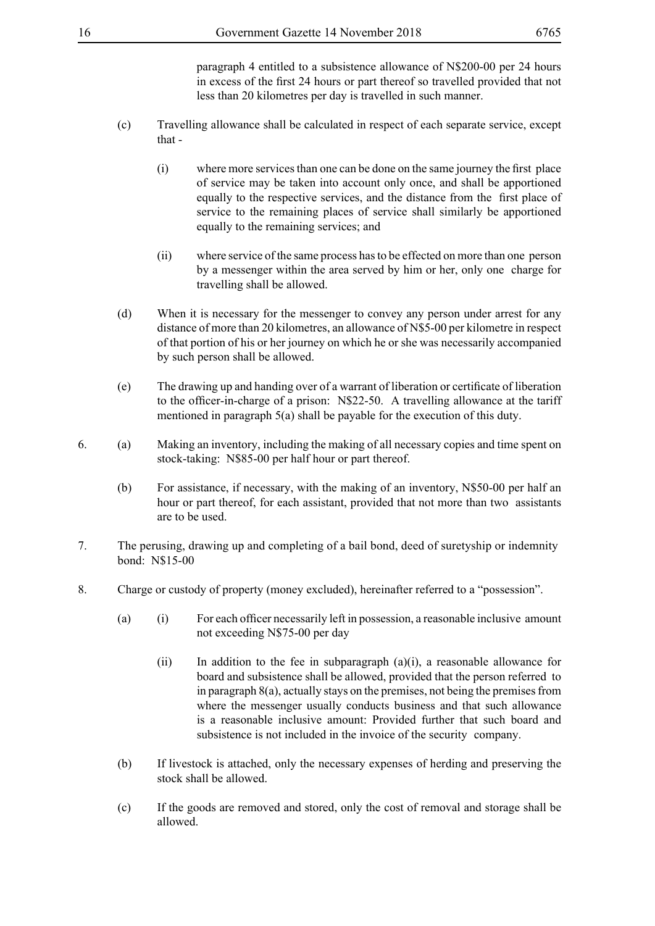paragraph 4 entitled to a subsistence allowance of N\$200-00 per 24 hours in excess of the first 24 hours or part thereof so travelled provided that not less than 20 kilometres per day is travelled in such manner.

- (c) Travelling allowance shall be calculated in respect of each separate service, except that -
	- (i) where more services than one can be done on the same journey the first place of service may be taken into account only once, and shall be apportioned equally to the respective services, and the distance from the first place of service to the remaining places of service shall similarly be apportioned equally to the remaining services; and
	- (ii) where service of the same process has to be effected on more than one person by a messenger within the area served by him or her, only one charge for travelling shall be allowed.
- (d) When it is necessary for the messenger to convey any person under arrest for any distance of more than 20 kilometres, an allowance of N\$5-00 per kilometre in respect of that portion of his or her journey on which he or she was necessarily accompanied by such person shall be allowed.
- (e) The drawing up and handing over of a warrant of liberation or certificate of liberation to the officer-in-charge of a prison: N\$22-50. A travelling allowance at the tariff mentioned in paragraph 5(a) shall be payable for the execution of this duty.
- 6. (a) Making an inventory, including the making of all necessary copies and time spent on stock-taking: N\$85-00 per half hour or part thereof.
	- (b) For assistance, if necessary, with the making of an inventory, N\$50-00 per half an hour or part thereof, for each assistant, provided that not more than two assistants are to be used.
- 7. The perusing, drawing up and completing of a bail bond, deed of suretyship or indemnity bond: N\$15-00
- 8. Charge or custody of property (money excluded), hereinafter referred to a "possession".
	- (a) (i) For each officer necessarily left in possession, a reasonable inclusive amount not exceeding N\$75-00 per day
		- (ii) In addition to the fee in subparagraph (a)(i), a reasonable allowance for board and subsistence shall be allowed, provided that the person referred to in paragraph 8(a), actually stays on the premises, not being the premises from where the messenger usually conducts business and that such allowance is a reasonable inclusive amount: Provided further that such board and subsistence is not included in the invoice of the security company.
	- (b) If livestock is attached, only the necessary expenses of herding and preserving the stock shall be allowed.
	- (c) If the goods are removed and stored, only the cost of removal and storage shall be allowed.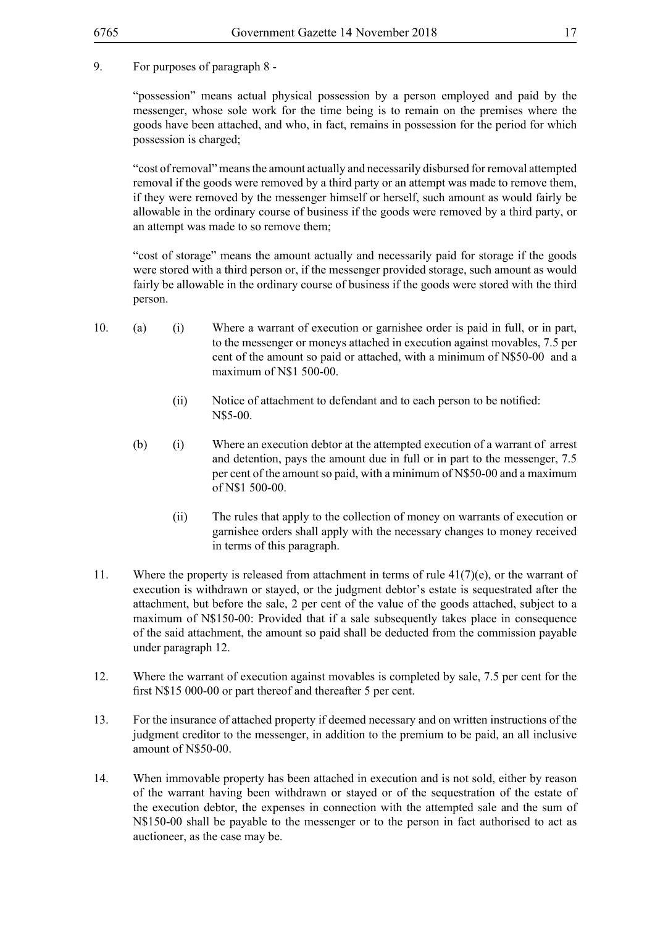#### 9. For purposes of paragraph 8 -

"possession" means actual physical possession by a person employed and paid by the messenger, whose sole work for the time being is to remain on the premises where the goods have been attached, and who, in fact, remains in possession for the period for which possession is charged;

"cost of removal" means the amount actually and necessarily disbursed for removal attempted removal if the goods were removed by a third party or an attempt was made to remove them, if they were removed by the messenger himself or herself, such amount as would fairly be allowable in the ordinary course of business if the goods were removed by a third party, or an attempt was made to so remove them;

"cost of storage" means the amount actually and necessarily paid for storage if the goods were stored with a third person or, if the messenger provided storage, such amount as would fairly be allowable in the ordinary course of business if the goods were stored with the third person.

- 10. (a) (i) Where a warrant of execution or garnishee order is paid in full, or in part, to the messenger or moneys attached in execution against movables, 7.5 per cent of the amount so paid or attached, with a minimum of N\$50-00 and a maximum of N\$1 500-00.
	- (ii) Notice of attachment to defendant and to each person to be notified: N\$5-00.
	- (b) (i) Where an execution debtor at the attempted execution of a warrant of arrest and detention, pays the amount due in full or in part to the messenger, 7.5 per cent of the amount so paid, with a minimum of N\$50-00 and a maximum of N\$1 500-00.
		- (ii) The rules that apply to the collection of money on warrants of execution or garnishee orders shall apply with the necessary changes to money received in terms of this paragraph.
- 11. Where the property is released from attachment in terms of rule  $41(7)(e)$ , or the warrant of execution is withdrawn or stayed, or the judgment debtor's estate is sequestrated after the attachment, but before the sale, 2 per cent of the value of the goods attached, subject to a maximum of N\$150-00: Provided that if a sale subsequently takes place in consequence of the said attachment, the amount so paid shall be deducted from the commission payable under paragraph 12.
- 12. Where the warrant of execution against movables is completed by sale, 7.5 per cent for the first N\$15 000-00 or part thereof and thereafter 5 per cent.
- 13. For the insurance of attached property if deemed necessary and on written instructions of the judgment creditor to the messenger, in addition to the premium to be paid, an all inclusive amount of N\$50-00.
- 14. When immovable property has been attached in execution and is not sold, either by reason of the warrant having been withdrawn or stayed or of the sequestration of the estate of the execution debtor, the expenses in connection with the attempted sale and the sum of N\$150-00 shall be payable to the messenger or to the person in fact authorised to act as auctioneer, as the case may be.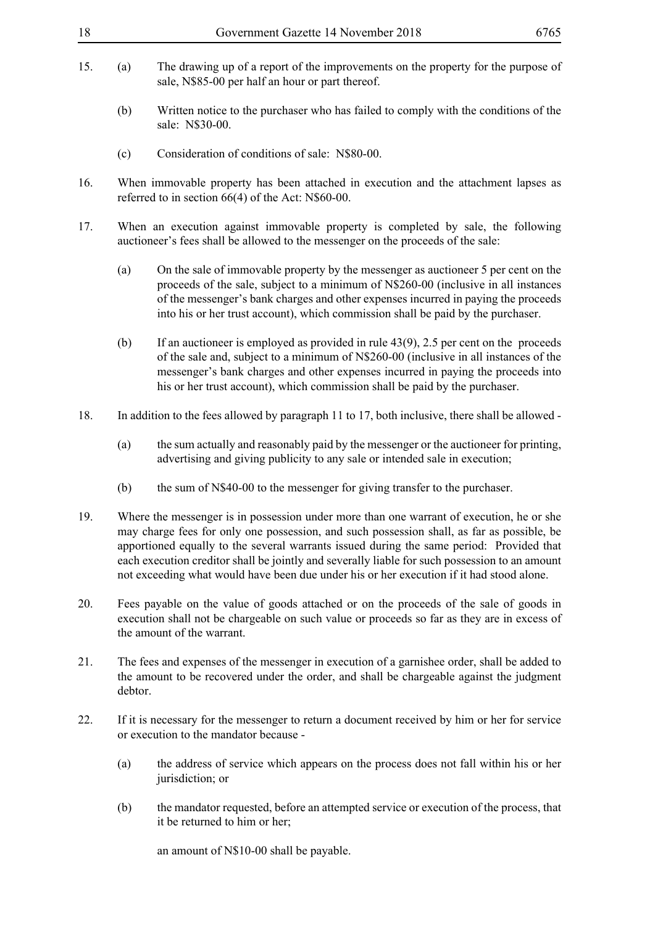- 
- 15. (a) The drawing up of a report of the improvements on the property for the purpose of sale, N\$85-00 per half an hour or part thereof.
	- (b) Written notice to the purchaser who has failed to comply with the conditions of the sale: N\$30-00.
	- (c) Consideration of conditions of sale: N\$80-00.
- 16. When immovable property has been attached in execution and the attachment lapses as referred to in section 66(4) of the Act: N\$60-00.
- 17. When an execution against immovable property is completed by sale, the following auctioneer's fees shall be allowed to the messenger on the proceeds of the sale:
	- (a) On the sale of immovable property by the messenger as auctioneer 5 per cent on the proceeds of the sale, subject to a minimum of N\$260-00 (inclusive in all instances of the messenger's bank charges and other expenses incurred in paying the proceeds into his or her trust account), which commission shall be paid by the purchaser.
	- (b) If an auctioneer is employed as provided in rule 43(9), 2.5 per cent on the proceeds of the sale and, subject to a minimum of N\$260-00 (inclusive in all instances of the messenger's bank charges and other expenses incurred in paying the proceeds into his or her trust account), which commission shall be paid by the purchaser.
- 18. In addition to the fees allowed by paragraph 11 to 17, both inclusive, there shall be allowed
	- (a) the sum actually and reasonably paid by the messenger or the auctioneer for printing, advertising and giving publicity to any sale or intended sale in execution;
	- (b) the sum of N\$40-00 to the messenger for giving transfer to the purchaser.
- 19. Where the messenger is in possession under more than one warrant of execution, he or she may charge fees for only one possession, and such possession shall, as far as possible, be apportioned equally to the several warrants issued during the same period: Provided that each execution creditor shall be jointly and severally liable for such possession to an amount not exceeding what would have been due under his or her execution if it had stood alone.
- 20. Fees payable on the value of goods attached or on the proceeds of the sale of goods in execution shall not be chargeable on such value or proceeds so far as they are in excess of the amount of the warrant.
- 21. The fees and expenses of the messenger in execution of a garnishee order, shall be added to the amount to be recovered under the order, and shall be chargeable against the judgment debtor.
- 22. If it is necessary for the messenger to return a document received by him or her for service or execution to the mandator because -
	- (a) the address of service which appears on the process does not fall within his or her jurisdiction; or
	- (b) the mandator requested, before an attempted service or execution of the process, that it be returned to him or her;

an amount of N\$10-00 shall be payable.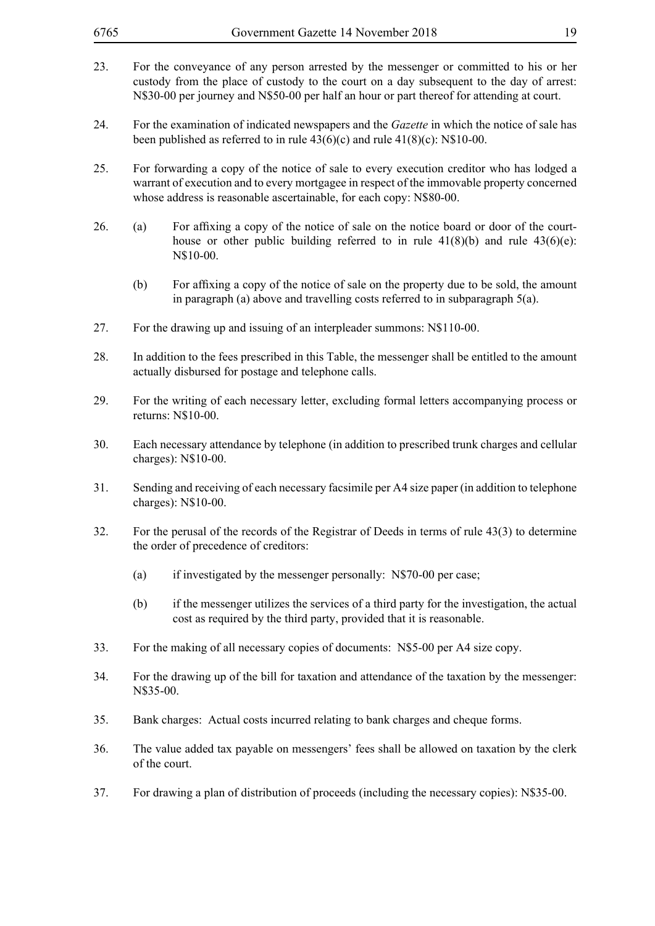| 6765 |                                                                                                                                                                                                                                                                                 | Government Gazette 14 November 2018                                                                                                                                                     | 19 |
|------|---------------------------------------------------------------------------------------------------------------------------------------------------------------------------------------------------------------------------------------------------------------------------------|-----------------------------------------------------------------------------------------------------------------------------------------------------------------------------------------|----|
| 23.  | For the conveyance of any person arrested by the messenger or committed to his or her<br>custody from the place of custody to the court on a day subsequent to the day of arrest:<br>N\$30-00 per journey and N\$50-00 per half an hour or part thereof for attending at court. |                                                                                                                                                                                         |    |
| 24.  | For the examination of indicated newspapers and the <i>Gazette</i> in which the notice of sale has<br>been published as referred to in rule $43(6)(c)$ and rule $41(8)(c)$ : N\$10-00.                                                                                          |                                                                                                                                                                                         |    |
| 25.  | For forwarding a copy of the notice of sale to every execution creditor who has lodged a<br>warrant of execution and to every mortgagee in respect of the immovable property concerned<br>whose address is reasonable ascertainable, for each copy: N\$80-00.                   |                                                                                                                                                                                         |    |
| 26.  | (a)                                                                                                                                                                                                                                                                             | For affixing a copy of the notice of sale on the notice board or door of the court-<br>house or other public building referred to in rule $41(8)(b)$ and rule $43(6)(e)$ :<br>N\$10-00. |    |
|      | (b)                                                                                                                                                                                                                                                                             | For affixing a copy of the notice of sale on the property due to be sold, the amount<br>in paragraph (a) above and travelling costs referred to in subparagraph $5(a)$ .                |    |
| 27.  | For the drawing up and issuing of an interpleader summons: N\$110-00.                                                                                                                                                                                                           |                                                                                                                                                                                         |    |
| 28.  | In addition to the fees prescribed in this Table, the messenger shall be entitled to the amount<br>actually disbursed for postage and telephone calls.                                                                                                                          |                                                                                                                                                                                         |    |
| 29.  | For the writing of each necessary letter, excluding formal letters accompanying process or<br>returns: N\$10-00.                                                                                                                                                                |                                                                                                                                                                                         |    |
| 30.  | Each necessary attendance by telephone (in addition to prescribed trunk charges and cellular<br>charges): N\$10-00.                                                                                                                                                             |                                                                                                                                                                                         |    |
| 31.  | Sending and receiving of each necessary facsimile per A4 size paper (in addition to telephone<br>charges): N\$10-00.                                                                                                                                                            |                                                                                                                                                                                         |    |
| 32.  |                                                                                                                                                                                                                                                                                 | For the perusal of the records of the Registrar of Deeds in terms of rule 43(3) to determine<br>the order of precedence of creditors:                                                   |    |
|      | (a)                                                                                                                                                                                                                                                                             | if investigated by the messenger personally: N\$70-00 per case;                                                                                                                         |    |
|      | (b)                                                                                                                                                                                                                                                                             | if the messenger utilizes the services of a third party for the investigation, the actual<br>cost as required by the third party, provided that it is reasonable.                       |    |
| 33.  |                                                                                                                                                                                                                                                                                 | For the making of all necessary copies of documents: N\$5-00 per A4 size copy.                                                                                                          |    |
| 34.  | For the drawing up of the bill for taxation and attendance of the taxation by the messenger:<br>N\$35-00.                                                                                                                                                                       |                                                                                                                                                                                         |    |
| 35.  | Bank charges: Actual costs incurred relating to bank charges and cheque forms.                                                                                                                                                                                                  |                                                                                                                                                                                         |    |
| 36.  | The value added tax payable on messengers' fees shall be allowed on taxation by the clerk<br>of the court.                                                                                                                                                                      |                                                                                                                                                                                         |    |
| 37.  |                                                                                                                                                                                                                                                                                 | For drawing a plan of distribution of proceeds (including the necessary copies): N\$35-00.                                                                                              |    |
|      |                                                                                                                                                                                                                                                                                 |                                                                                                                                                                                         |    |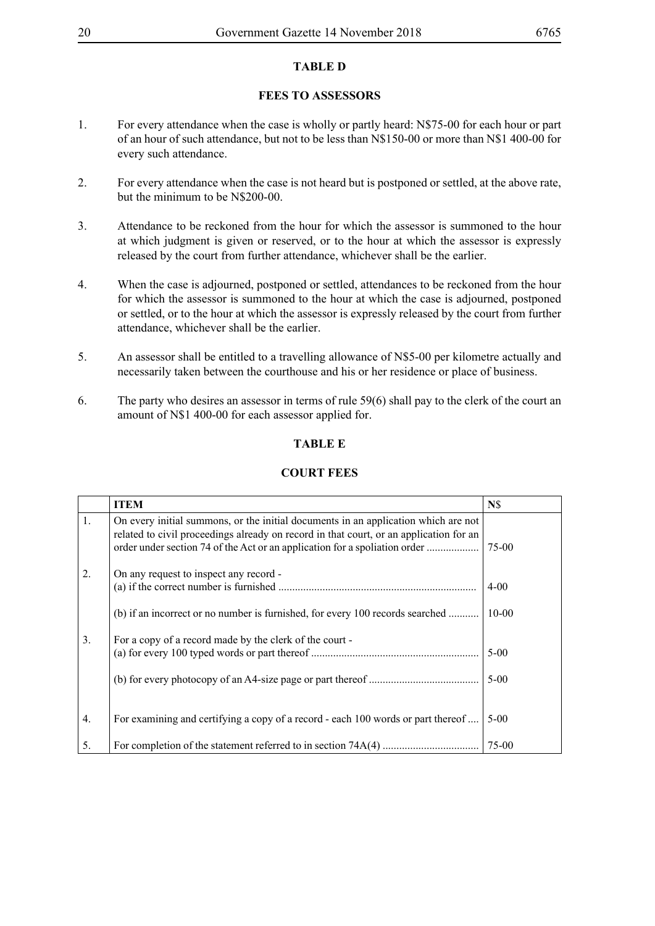### **TABLE D**

### **FEES TO ASSESSORS**

- 1. For every attendance when the case is wholly or partly heard: N\$75-00 for each hour or part of an hour of such attendance, but not to be less than N\$150-00 or more than N\$1 400-00 for every such attendance.
- 2. For every attendance when the case is not heard but is postponed or settled, at the above rate, but the minimum to be N\$200-00.
- 3. Attendance to be reckoned from the hour for which the assessor is summoned to the hour at which judgment is given or reserved, or to the hour at which the assessor is expressly released by the court from further attendance, whichever shall be the earlier.
- 4. When the case is adjourned, postponed or settled, attendances to be reckoned from the hour for which the assessor is summoned to the hour at which the case is adjourned, postponed or settled, or to the hour at which the assessor is expressly released by the court from further attendance, whichever shall be the earlier.
- 5. An assessor shall be entitled to a travelling allowance of N\$5-00 per kilometre actually and necessarily taken between the courthouse and his or her residence or place of business.
- 6. The party who desires an assessor in terms of rule 59(6) shall pay to the clerk of the court an amount of N\$1 400-00 for each assessor applied for.

#### **TABLE E**

#### **COURT FEES**

|                | <b>ITEM</b>                                                                                                                                                                  | N\$          |
|----------------|------------------------------------------------------------------------------------------------------------------------------------------------------------------------------|--------------|
| $\mathbf{1}$ . | On every initial summons, or the initial documents in an application which are not<br>related to civil proceedings already on record in that court, or an application for an | 75-00        |
| 2.             | On any request to inspect any record -                                                                                                                                       | $4 - 00$     |
|                | (b) if an incorrect or no number is furnished, for every 100 records searched                                                                                                | $10 - 00$    |
| 3.             | For a copy of a record made by the clerk of the court -                                                                                                                      | $5 - 00$     |
|                |                                                                                                                                                                              | $\vert$ 5-00 |
| 4.             | For examining and certifying a copy of a record - each 100 words or part thereof                                                                                             | $5 - 00$     |
| 5.             |                                                                                                                                                                              | 75-00        |